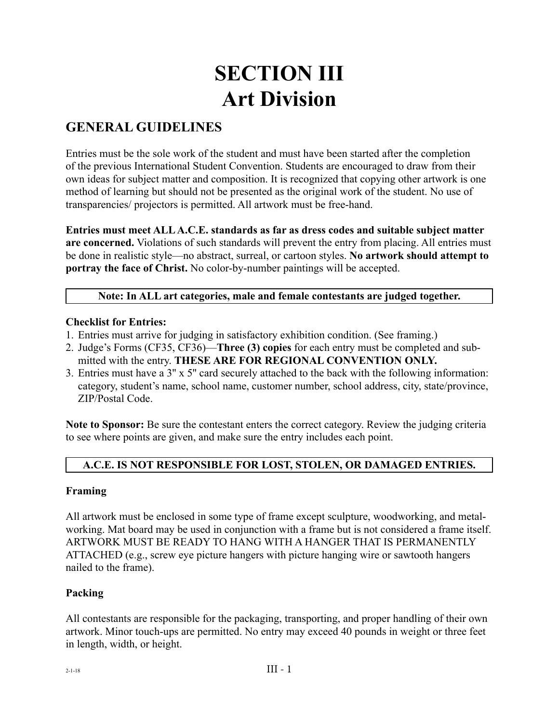# **SECTION III Art Division**

# **GENERAL GUIDELINES**

Entries must be the sole work of the student and must have been started after the completion of the previous International Student Convention. Students are encouraged to draw from their own ideas for subject matter and composition. It is recognized that copying other artwork is one method of learning but should not be presented as the original work of the student. No use of transparencies/ projectors is permitted. All artwork must be free-hand.

**Entries must meet ALL A.C.E. standards as far as dress codes and suitable subject matter are concerned.** Violations of such standards will prevent the entry from placing. All entries must be done in realistic style—no abstract, surreal, or cartoon styles. **No artwork should attempt to portray the face of Christ.** No color-by-number paintings will be accepted.

#### **Note: In ALL art categories, male and female contestants are judged together.**

#### **Checklist for Entries:**

- 1. Entries must arrive for judging in satisfactory exhibition condition. (See framing.)
- 2. Judge's Forms (CF35, CF36)—**Three (3) copies** for each entry must be completed and submitted with the entry. **THESE ARE FOR REGIONAL CONVENTION ONLY.**
- 3. Entries must have a 3'' x 5'' card securely attached to the back with the following information: category, student's name, school name, customer number, school address, city, state/province, ZIP/Postal Code.

**Note to Sponsor:** Be sure the contestant enters the correct category. Review the judging criteria to see where points are given, and make sure the entry includes each point.

#### **A.C.E. IS NOT RESPONSIBLE FOR LOST, STOLEN, OR DAMAGED ENTRIES.**

#### **Framing**

All artwork must be enclosed in some type of frame except sculpture, woodworking, and metalworking. Mat board may be used in conjunction with a frame but is not considered a frame itself. ARTWORK MUST BE READY TO HANG WITH A HANGER THAT IS PERMANENTLY ATTACHED (e.g., screw eye picture hangers with picture hanging wire or sawtooth hangers nailed to the frame).

#### **Packing**

All contestants are responsible for the packaging, transporting, and proper handling of their own artwork. Minor touch-ups are permitted. No entry may exceed 40 pounds in weight or three feet in length, width, or height.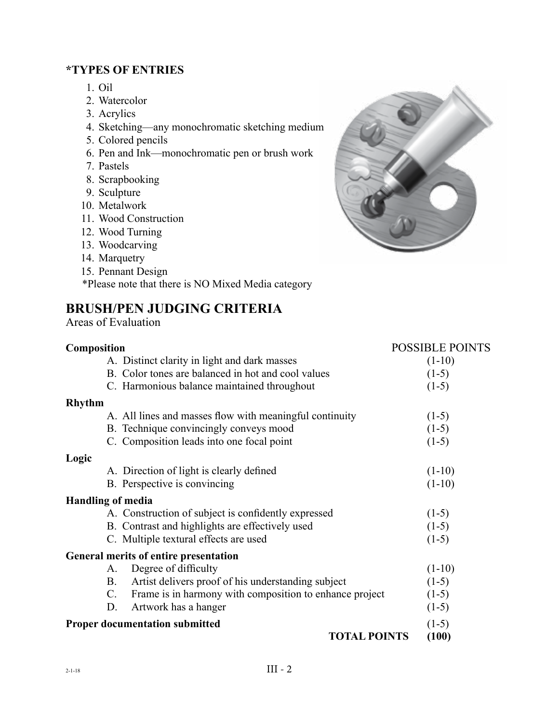#### **\*TYPES OF ENTRIES**

- 1. Oil
- 2. Watercolor
- 3. Acrylics
- 4. Sketching—any monochromatic sketching medium
- 5. Colored pencils
- 6. Pen and Ink—monochromatic pen or brush work
- 7. Pastels
- 8. Scrapbooking
- 9. Sculpture
- 10. Metalwork
- 11. Wood Construction
- 12. Wood Turning
- 13. Woodcarving
- 14. Marquetry
- 15. Pennant Design

\*Please note that there is NO Mixed Media category

# **BRUSH/PEN JUDGING CRITERIA**

Areas of Evaluation

#### **Composition** POSSIBLE POINTS A. Distinct clarity in light and dark masses (1-10) B. Color tones are balanced in hot and cool values (1-5) C. Harmonious balance maintained throughout (1-5) **Rhythm** A. All lines and masses flow with meaningful continuity (1-5) B. Technique convincingly conveys mood (1-5) C. Composition leads into one focal point (1-5) **Logic** A. Direction of light is clearly defined (1-10) B. Perspective is convincing (1-10) **Handling of media** A. Construction of subject is confidently expressed (1-5) B. Contrast and highlights are effectively used (1-5) C. Multiple textural effects are used (1-5) **General merits of entire presentation** A. Degree of difficulty (1-10) B. Artist delivers proof of his understanding subject (1-5) C. Frame is in harmony with composition to enhance project (1-5) D. Artwork has a hanger (1-5) **Proper documentation submitted** (1-5) **TOTAL POINTS (100)**

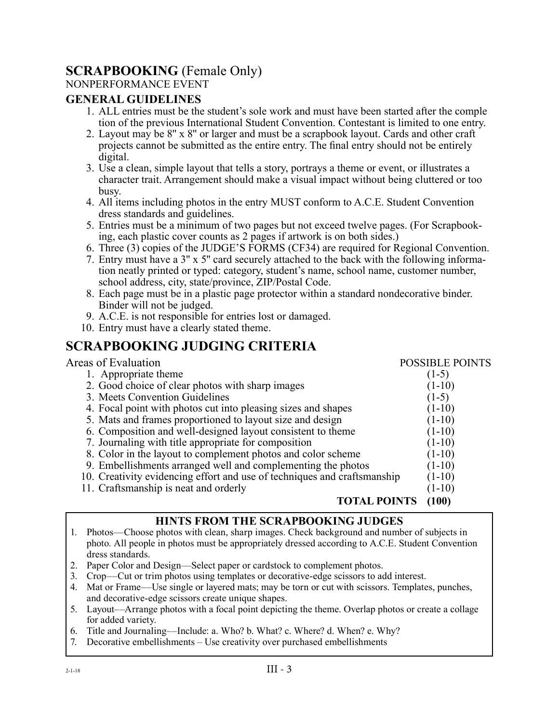# **SCRAPBOOKING** (Female Only)

#### NONPERFORMANCE EVENT

#### **GENERAL GUIDELINES**

- 1. ALL entries must be the student's sole work and must have been started after the comple tion of the previous International Student Convention. Contestant is limited to one entry.
- 2. Layout may be 8'' x 8'' or larger and must be a scrapbook layout. Cards and other craft projects cannot be submitted as the entire entry. The final entry should not be entirely digital.
- 3. Use a clean, simple layout that tells a story, portrays a theme or event, or illustrates a character trait. Arrangement should make a visual impact without being cluttered or too busy.
- 4. All items including photos in the entry MUST conform to A.C.E. Student Convention dress standards and guidelines.
- 5. Entries must be a minimum of two pages but not exceed twelve pages. (For Scrapbooking, each plastic cover counts as 2 pages if artwork is on both sides.)
- 6. Three (3) copies of the JUDGE'S FORMS (CF34) are required for Regional Convention.
- 7. Entry must have a 3'' x 5'' card securely attached to the back with the following information neatly printed or typed: category, student's name, school name, customer number, school address, city, state/province, ZIP/Postal Code.
- 8. Each page must be in a plastic page protector within a standard nondecorative binder. Binder will not be judged.
- 9. A.C.E. is not responsible for entries lost or damaged.
- 10. Entry must have a clearly stated theme.

# **SCRAPBOOKING JUDGING CRITERIA**

#### Areas of Evaluation **POSSIBLE POINTS** 1. Appropriate theme (1-5)<br>2. Good choice of clear photos with sharp images (1-10) 2. Good choice of clear photos with sharp images 3. Meets Convention Guidelines (1-5)<br>4. Focal point with photos cut into pleasing sizes and shapes (1-10) 4. Focal point with photos cut into pleasing sizes and shapes 5. Mats and frames proportioned to layout size and design (1-10) 6. Composition and well-designed layout consistent to theme (1-10) 7. Journaling with title appropriate for composition (1-10) 8. Color in the layout to complement photos and color scheme (1-10) 9. Embellishments arranged well and complementing the photos (1-10) 10. Creativity evidencing effort and use of techniques and craftsmanship (1-10) 11. Craftsmanship is neat and orderly (1-10) **TOTAL POINTS (100)**

#### **HINTS FROM THE SCRAPBOOKING JUDGES**

- 1. Photos—Choose photos with clean, sharp images. Check background and number of subjects in photo. All people in photos must be appropriately dressed according to A.C.E. Student Convention dress standards.
- 2. Paper Color and Design—Select paper or cardstock to complement photos.
- 3. Crop––Cut or trim photos using templates or decorative-edge scissors to add interest.
- 4. Mat or Frame––Use single or layered mats; may be torn or cut with scissors. Templates, punches, and decorative-edge scissors create unique shapes.
- 5. Layout––Arrange photos with a focal point depicting the theme. Overlap photos or create a collage for added variety.
- 6. Title and Journaling––Include: a. Who? b. What? c. Where? d. When? e. Why?
- 7. Decorative embellishments Use creativity over purchased embellishments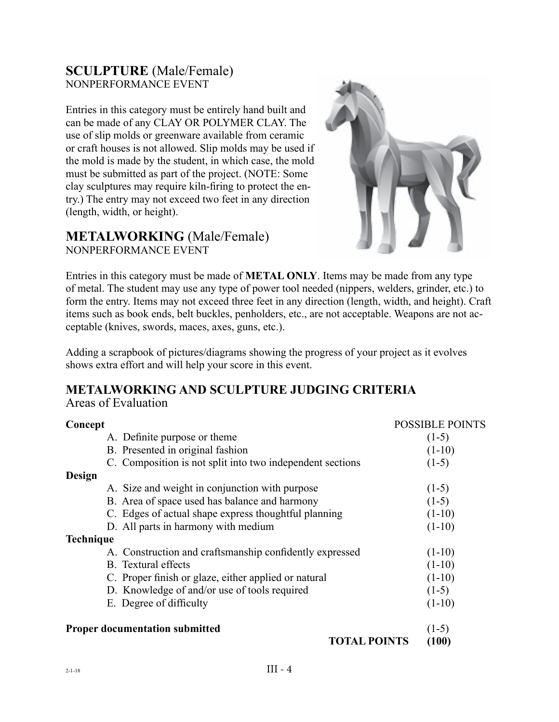### **SCULPTURE** (Male/Female) NONPERFORMANCE EVENT

Entries in this category must be entirely hand built and can be made of any CLAY OR POLYMER CLAY. The use of slip molds or greenware available from ceramic or craft houses is not allowed. Slip molds may be used if the mold is made by the student, in which case, the mold must be submitted as part of the project. (NOTE: Some clay sculptures may require kiln-firing to protect the entry.) The entry may not exceed two feet in any direction (length, width, or height).

#### **METALWORKING** (Male/Female) NONPERFORMANCE EVENT



Entries in this category must be made of **METAL ONLY**. Items may be made from any type of metal. The student may use any type of power tool needed (nippers, welders, grinder, etc.) to form the entry. Items may not exceed three feet in any direction (length, width, and height). Craft items such as book ends, belt buckles, penholders, etc., are not acceptable. Weapons are not acceptable (knives, swords, maces, axes, guns, etc.).

Adding a scrapbook of pictures/diagrams showing the progress of your project as it evolves shows extra effort and will help your score in this event.

# **METALWORKING AND SCULPTURE JUDGING CRITERIA**

Areas of Evaluation

| Concept          |                                                           | <b>POSSIBLE POINTS</b> |
|------------------|-----------------------------------------------------------|------------------------|
|                  | A. Definite purpose or theme.                             | $(1-5)$                |
|                  | B. Presented in original fashion                          | $(1-10)$               |
|                  | C. Composition is not split into two independent sections | $(1-5)$                |
| Design           |                                                           |                        |
|                  | A. Size and weight in conjunction with purpose            | $(1-5)$                |
|                  | B. Area of space used has balance and harmony             | $(1-5)$                |
|                  | C. Edges of actual shape express thoughtful planning      | $(1-10)$               |
|                  | D. All parts in harmony with medium                       | $(1-10)$               |
| <b>Technique</b> |                                                           |                        |
|                  | A. Construction and craftsmanship confidently expressed   | $(1-10)$               |
|                  | <b>B.</b> Textural effects                                | $(1-10)$               |
|                  | C. Proper finish or glaze, either applied or natural      | $(1-10)$               |
|                  | D. Knowledge of and/or use of tools required              | $(1-5)$                |
|                  | E. Degree of difficulty                                   | $(1-10)$               |
|                  | <b>Proper documentation submitted</b>                     | $(1-5)$                |
|                  | <b>TOTAL POINTS</b>                                       | (100)                  |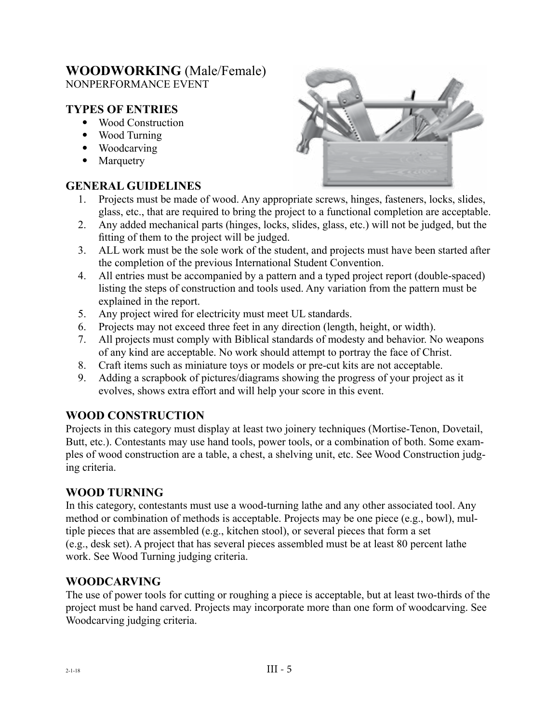#### **WOODWORKING** (Male/Female) NONPERFORMANCE EVENT

#### **TYPES OF ENTRIES**

- Wood Construction
- Wood Turning
- Woodcarving
- Marquetry

#### **GENERAL GUIDELINES**

- 1. Projects must be made of wood. Any appropriate screws, hinges, fasteners, locks, slides, glass, etc., that are required to bring the project to a functional completion are acceptable.
- 2. Any added mechanical parts (hinges, locks, slides, glass, etc.) will not be judged, but the fitting of them to the project will be judged.
- 3. ALL work must be the sole work of the student, and projects must have been started after the completion of the previous International Student Convention.
- 4. All entries must be accompanied by a pattern and a typed project report (double-spaced) listing the steps of construction and tools used. Any variation from the pattern must be explained in the report.
- 5. Any project wired for electricity must meet UL standards.
- 6. Projects may not exceed three feet in any direction (length, height, or width).
- 7. All projects must comply with Biblical standards of modesty and behavior. No weapons of any kind are acceptable. No work should attempt to portray the face of Christ.
- 8. Craft items such as miniature toys or models or pre-cut kits are not acceptable.
- 9. Adding a scrapbook of pictures/diagrams showing the progress of your project as it evolves, shows extra effort and will help your score in this event.

#### **WOOD CONSTRUCTION**

Projects in this category must display at least two joinery techniques (Mortise-Tenon, Dovetail, Butt, etc.). Contestants may use hand tools, power tools, or a combination of both. Some examples of wood construction are a table, a chest, a shelving unit, etc. See Wood Construction judging criteria.

#### **WOOD TURNING**

In this category, contestants must use a wood-turning lathe and any other associated tool. Any method or combination of methods is acceptable. Projects may be one piece (e.g., bowl), multiple pieces that are assembled (e.g., kitchen stool), or several pieces that form a set (e.g., desk set). A project that has several pieces assembled must be at least 80 percent lathe work. See Wood Turning judging criteria.

#### **WOODCARVING**

The use of power tools for cutting or roughing a piece is acceptable, but at least two-thirds of the project must be hand carved. Projects may incorporate more than one form of woodcarving. See Woodcarving judging criteria.

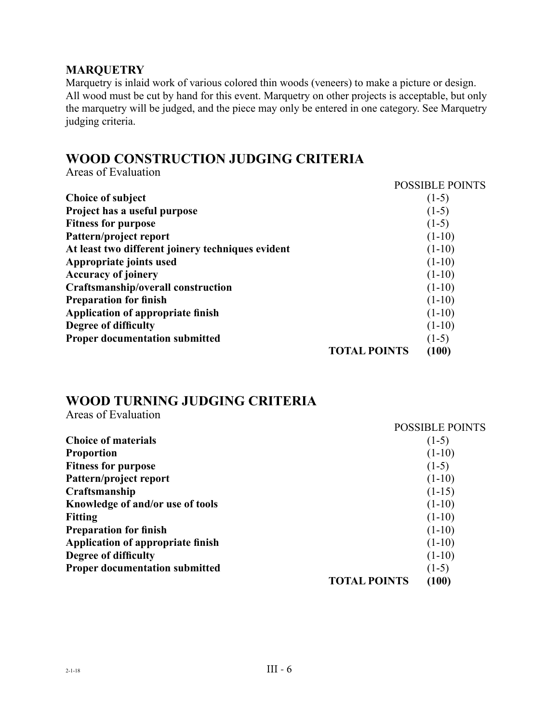#### **MARQUETRY**

Marquetry is inlaid work of various colored thin woods (veneers) to make a picture or design. All wood must be cut by hand for this event. Marquetry on other projects is acceptable, but only the marquetry will be judged, and the piece may only be entered in one category. See Marquetry judging criteria.

# **WOOD CONSTRUCTION JUDGING CRITERIA**

Areas of Evaluation

|                                                   |                     | <b>POSSIBLE POINTS</b> |
|---------------------------------------------------|---------------------|------------------------|
| <b>Choice of subject</b>                          |                     | $(1-5)$                |
| Project has a useful purpose                      |                     | $(1-5)$                |
| <b>Fitness for purpose</b>                        |                     | $(1-5)$                |
| Pattern/project report                            |                     | $(1-10)$               |
| At least two different joinery techniques evident |                     | $(1-10)$               |
| Appropriate joints used                           |                     | $(1-10)$               |
| <b>Accuracy of joinery</b>                        |                     | $(1-10)$               |
| Craftsmanship/overall construction                |                     | $(1-10)$               |
| <b>Preparation for finish</b>                     |                     | $(1-10)$               |
| Application of appropriate finish                 |                     | $(1-10)$               |
| Degree of difficulty                              |                     | $(1-10)$               |
| <b>Proper documentation submitted</b>             |                     | $(1-5)$                |
|                                                   | <b>TOTAL POINTS</b> | (100)                  |

# **WOOD TURNING JUDGING CRITERIA**

Areas of Evaluation

|                                       |                     | <b>POSSIBLE POINTS</b> |
|---------------------------------------|---------------------|------------------------|
| <b>Choice of materials</b>            |                     | $(1-5)$                |
| <b>Proportion</b>                     |                     | $(1-10)$               |
| <b>Fitness for purpose</b>            |                     | $(1-5)$                |
| Pattern/project report                |                     | $(1-10)$               |
| Craftsmanship                         |                     | $(1-15)$               |
| Knowledge of and/or use of tools      |                     | $(1-10)$               |
| <b>Fitting</b>                        |                     | $(1-10)$               |
| <b>Preparation for finish</b>         |                     | $(1-10)$               |
| Application of appropriate finish     |                     | $(1-10)$               |
| Degree of difficulty                  |                     | $(1-10)$               |
| <b>Proper documentation submitted</b> |                     | $(1-5)$                |
|                                       | <b>TOTAL POINTS</b> | (100)                  |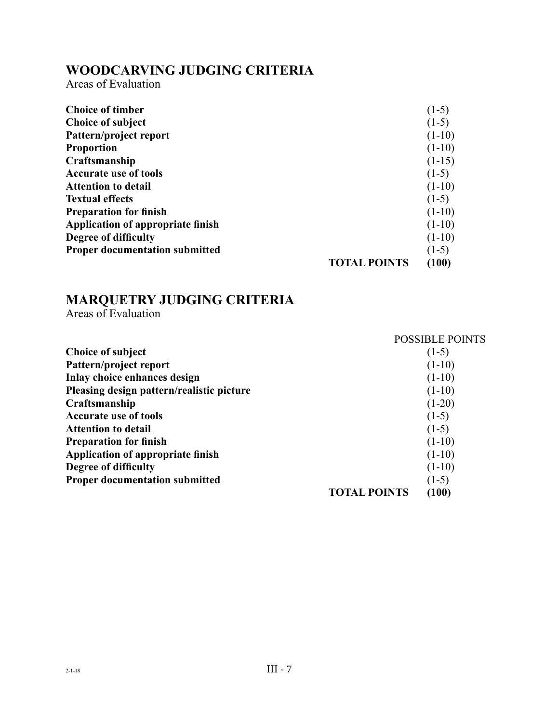# **WOODCARVING JUDGING CRITERIA**

Areas of Evaluation

| <b>Choice of timber</b>               |                     | $(1-5)$  |
|---------------------------------------|---------------------|----------|
| <b>Choice of subject</b>              |                     | $(1-5)$  |
| Pattern/project report                |                     | $(1-10)$ |
| <b>Proportion</b>                     |                     | $(1-10)$ |
| Craftsmanship                         |                     | $(1-15)$ |
| <b>Accurate use of tools</b>          |                     | $(1-5)$  |
| <b>Attention to detail</b>            |                     | $(1-10)$ |
| <b>Textual effects</b>                |                     | $(1-5)$  |
| <b>Preparation for finish</b>         |                     | $(1-10)$ |
| Application of appropriate finish     |                     | $(1-10)$ |
| Degree of difficulty                  |                     | $(1-10)$ |
| <b>Proper documentation submitted</b> |                     | $(1-5)$  |
|                                       | <b>TOTAL POINTS</b> | (100)    |

# **MARQUETRY JUDGING CRITERIA**

Areas of Evaluation

|                                           |                     | <b>POSSIBLE POINTS</b> |
|-------------------------------------------|---------------------|------------------------|
| Choice of subject                         |                     | $(1-5)$                |
| Pattern/project report                    |                     | $(1-10)$               |
| Inlay choice enhances design              |                     | $(1-10)$               |
| Pleasing design pattern/realistic picture |                     | $(1-10)$               |
| Craftsmanship                             |                     | $(1-20)$               |
| <b>Accurate use of tools</b>              |                     | $(1-5)$                |
| <b>Attention to detail</b>                |                     | $(1-5)$                |
| <b>Preparation for finish</b>             |                     | $(1-10)$               |
| Application of appropriate finish         |                     | $(1-10)$               |
| Degree of difficulty                      |                     | $(1-10)$               |
| <b>Proper documentation submitted</b>     |                     | $(1-5)$                |
|                                           | <b>TOTAL POINTS</b> | (100)                  |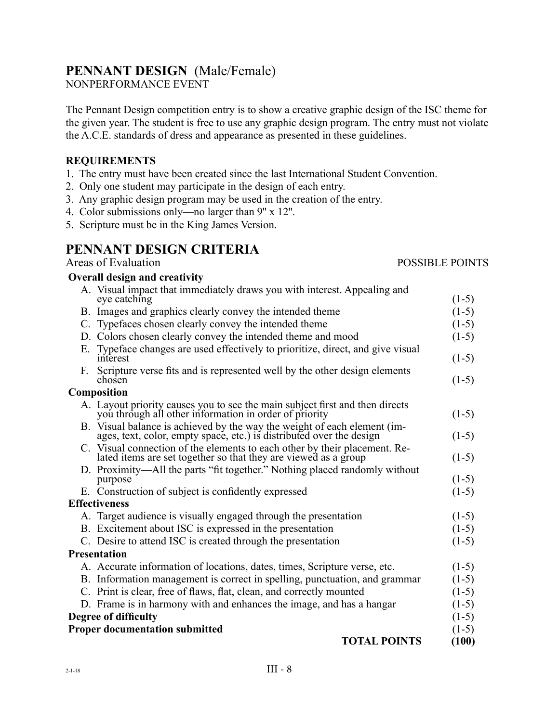# **PENNANT DESIGN** (Male/Female)

NONPERFORMANCE EVENT

The Pennant Design competition entry is to show a creative graphic design of the ISC theme for the given year. The student is free to use any graphic design program. The entry must not violate the A.C.E. standards of dress and appearance as presented in these guidelines.

#### **REQUIREMENTS**

- 1. The entry must have been created since the last International Student Convention.
- 2. Only one student may participate in the design of each entry.
- 3. Any graphic design program may be used in the creation of the entry.
- 4. Color submissions only—no larger than 9'' x 12''.
- 5. Scripture must be in the King James Version.

# **PENNANT DESIGN CRITERIA**

# Areas of Evaluation POSSIBLE POINTS

| <b>Overall design and creativity</b>                                                                                                             |         |
|--------------------------------------------------------------------------------------------------------------------------------------------------|---------|
| A. Visual impact that immediately draws you with interest. Appealing and<br>eye catching                                                         | $(1-5)$ |
| B. Images and graphics clearly convey the intended theme                                                                                         | $(1-5)$ |
| C. Typefaces chosen clearly convey the intended theme                                                                                            | $(1-5)$ |
| D. Colors chosen clearly convey the intended theme and mood                                                                                      | $(1-5)$ |
| E. Typeface changes are used effectively to prioritize, direct, and give visual<br>interest                                                      | $(1-5)$ |
| F. Scripture verse fits and is represented well by the other design elements<br>chosen                                                           | $(1-5)$ |
| Composition                                                                                                                                      |         |
| A. Layout priority causes you to see the main subject first and then directs you through all other information in order of priority              | $(1-5)$ |
| B. Visual balance is achieved by the way the weight of each element (im-<br>ages, text, color, empty space, etc.) is distributed over the design | $(1-5)$ |
| C. Visual connection of the elements to each other by their placement. Re-<br>lated items are set together so that they are viewed as a group    | $(1-5)$ |
| D. Proximity—All the parts "fit together." Nothing placed randomly without<br>purpose                                                            | $(1-5)$ |
| E. Construction of subject is confidently expressed                                                                                              | $(1-5)$ |
| <b>Effectiveness</b>                                                                                                                             |         |
| A. Target audience is visually engaged through the presentation                                                                                  | $(1-5)$ |
| B. Excitement about ISC is expressed in the presentation                                                                                         | $(1-5)$ |
| C. Desire to attend ISC is created through the presentation                                                                                      | $(1-5)$ |
| Presentation                                                                                                                                     |         |
| A. Accurate information of locations, dates, times, Scripture verse, etc.                                                                        | $(1-5)$ |
| B. Information management is correct in spelling, punctuation, and grammar                                                                       | $(1-5)$ |
| C. Print is clear, free of flaws, flat, clean, and correctly mounted                                                                             | $(1-5)$ |
| D. Frame is in harmony with and enhances the image, and has a hangar                                                                             | $(1-5)$ |
| Degree of difficulty                                                                                                                             | $(1-5)$ |
| <b>Proper documentation submitted</b>                                                                                                            | $(1-5)$ |

#### **TOTAL POINTS (100)**